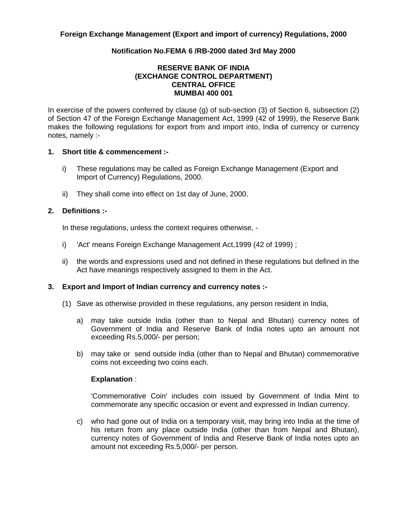## **Notification No.FEMA 6 /RB-2000 dated 3rd May 2000**

## **RESERVE BANK OF INDIA (EXCHANGE CONTROL DEPARTMENT) CENTRAL OFFICE MUMBAI 400 001**

In exercise of the powers conferred by clause (g) of sub-section (3) of Section 6, subsection (2) of Section 47 of the Foreign Exchange Management Act, 1999 (42 of 1999), the Reserve Bank makes the following regulations for export from and import into, India of currency or currency notes, namely :-

### **1. Short title & commencement :-**

- i) These regulations may be called as Foreign Exchange Management (Export and Import of Currency) Regulations, 2000.
- ii) They shall come into effect on 1st day of June, 2000.

### **2. Definitions :-**

In these regulations, unless the context requires otherwise, -

- i) 'Act' means Foreign Exchange Management Act,1999 (42 of 1999) ;
- ii) the words and expressions used and not defined in these regulations but defined in the Act have meanings respectively assigned to them in the Act.

### **3. Export and Import of Indian currency and currency notes :-**

- (1) Save as otherwise provided in these regulations, any person resident in India,
	- a) may take outside India (other than to Nepal and Bhutan) currency notes of Government of India and Reserve Bank of India notes upto an amount not exceeding Rs.5,000/- per person;
	- b) may take or send outside India (other than to Nepal and Bhutan) commemorative coins not exceeding two coins each.

### **Explanation** :

 'Commemorative Coin' includes coin issued by Government of India Mint to commemorate any specific occasion or event and expressed in Indian currency.

 c) who had gone out of India on a temporary visit, may bring into India at the time of his return from any place outside India (other than from Nepal and Bhutan), currency notes of Government of India and Reserve Bank of India notes upto an amount not exceeding Rs.5,000/- per person.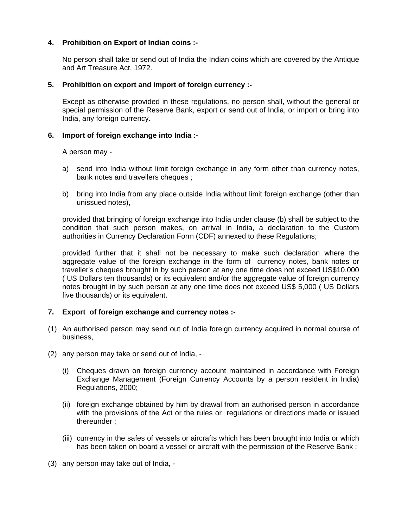## **4. Prohibition on Export of Indian coins :-**

 No person shall take or send out of India the Indian coins which are covered by the Antique and Art Treasure Act, 1972.

## **5. Prohibition on export and import of foreign currency :-**

 Except as otherwise provided in these regulations, no person shall, without the general or special permission of the Reserve Bank, export or send out of India, or import or bring into India, any foreign currency.

## **6. Import of foreign exchange into India :-**

A person may -

- a) send into India without limit foreign exchange in any form other than currency notes, bank notes and travellers cheques :
- b) bring into India from any place outside India without limit foreign exchange (other than unissued notes),

 provided that bringing of foreign exchange into India under clause (b) shall be subject to the condition that such person makes, on arrival in India, a declaration to the Custom authorities in Currency Declaration Form (CDF) annexed to these Regulations;

 provided further that it shall not be necessary to make such declaration where the aggregate value of the foreign exchange in the form of currency notes, bank notes or traveller's cheques brought in by such person at any one time does not exceed US\$10,000 ( US Dollars ten thousands) or its equivalent and/or the aggregate value of foreign currency notes brought in by such person at any one time does not exceed US\$ 5,000 ( US Dollars five thousands) or its equivalent.

# **7. Export of foreign exchange and currency notes :-**

- (1) An authorised person may send out of India foreign currency acquired in normal course of business,
- (2) any person may take or send out of India,
	- (i) Cheques drawn on foreign currency account maintained in accordance with Foreign Exchange Management (Foreign Currency Accounts by a person resident in India) Regulations, 2000;
	- (ii) foreign exchange obtained by him by drawal from an authorised person in accordance with the provisions of the Act or the rules or regulations or directions made or issued thereunder ;
	- (iii) currency in the safes of vessels or aircrafts which has been brought into India or which has been taken on board a vessel or aircraft with the permission of the Reserve Bank;
- (3) any person may take out of India, -